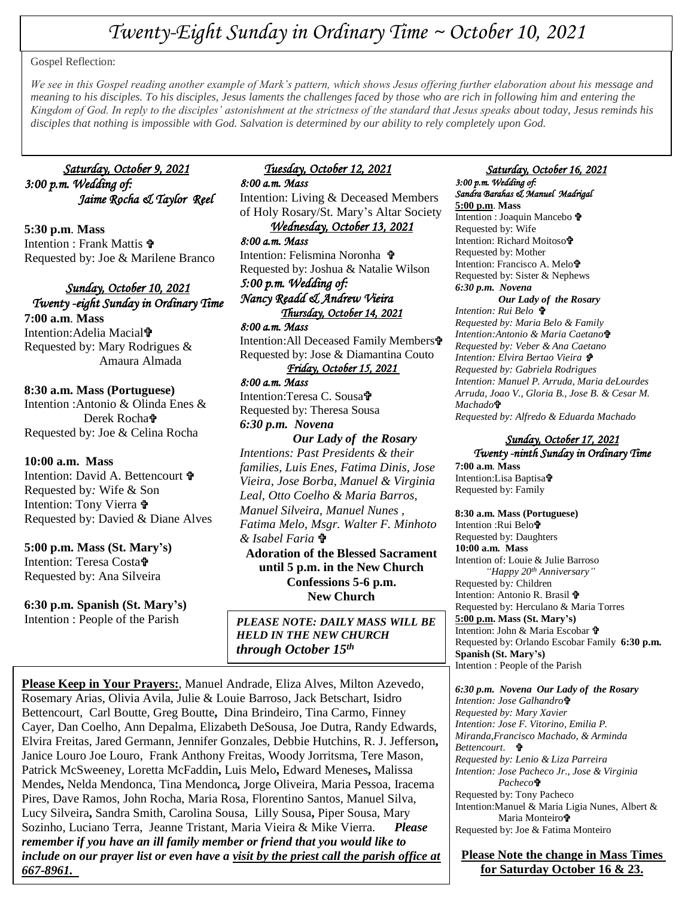# *Twenty-Eight Sunday in Ordinary Time ~ October 10, 2021*

#### Gospel Reflection:

 *Kingdom of God. In reply to the disciples' astonishment at the strictness of the standard that Jesus speaks about today, Jesus reminds his We see in this Gospel reading another example of Mark's pattern, which shows Jesus offering further elaboration about his message and meaning to his disciples. To his disciples, Jesus laments the challenges faced by those who are rich in following him and entering the disciples that nothing is impossible with God. Salvation is determined by our ability to rely completely upon God.*

## *Saturday, October 9, 2021 3:00 p.m. Wedding of: Jaime Rocha & Taylor Reel*

**5:30 p.m**. **Mass** Intention : Frank Mattis  $\mathbf{\hat{v}}$ Requested by: Joe & Marilene Branco

#### *Sunday, October 10, 2021 Twenty -eight Sunday in Ordinary Time*

**7:00 a.m**. **Mass** Intention: Adelia Maciala<sup>1</sup> Requested by: Mary Rodrigues & Amaura Almada

#### **8:30 a.m. Mass (Portuguese)**

Intention :Antonio & Olinda Enes & Derek Rocha Requested by: Joe & Celina Rocha

#### **10:00 a.m. Mass**

Intention: David A. Bettencourt Requested by*:* Wife & Son Intention: Tony Vierra  $\mathbf{\hat{v}}$ Requested by: Davied & Diane Alves

**5:00 p.m. Mass (St. Mary's)** Intention: Teresa Costa Requested by: Ana Silveira

**6:30 p.m. Spanish (St. Mary's)**

Intention : People of the Parish

#### *Tuesday, October 12, 2021 8:00 a.m. Mass*

Intention: Living & Deceased Members of Holy Rosary/St. Mary's Altar Society

*Wednesday, October 13, 2021 8:00 a.m. Mass*  Intention: Felismina Noronha Requested by: Joshua & Natalie Wilson *5:00 p.m. Wedding of:* 

*Nancy Readd & Andrew Vieira Thursday, October 14, 2021* 

*8:00 a.m. Mass*  Intention: All Deceased Family Members<sup>t</sup> Requested by: Jose & Diamantina Couto

# *Friday, October 15, 2021*

*8:00 a.m. Mass*  Intention:Teresa C. Sousa Requested by: Theresa Sousa *6:30 p.m. Novena* 

 *Our Lady of the Rosary Intentions: Past Presidents & their families, Luis Enes, Fatima Dinis, Jose Vieira, Jose Borba, Manuel & Virginia Leal, Otto Coelho & Maria Barros, Manuel Silveira, Manuel Nunes , Fatima Melo, Msgr. Walter F. Minhoto & Isabel Faria* 

**Adoration of the Blessed Sacrament until 5 p.m. in the New Church Confessions 5-6 p.m. New Church**

 *HELD IN THE NEW CHURCH PLEASE NOTE: DAILY MASS WILL BE through October 15th*

**Please Keep in Your Prayers:**, Manuel Andrade, Eliza Alves, Milton Azevedo, Rosemary Arias, Olivia Avila, Julie & Louie Barroso, Jack Betschart, Isidro Bettencourt, Carl Boutte, Greg Boutte**,** Dina Brindeiro, Tina Carmo, Finney Cayer, Dan Coelho, Ann Depalma, Elizabeth DeSousa, Joe Dutra, Randy Edwards, Elvira Freitas, Jared Germann, Jennifer Gonzales, Debbie Hutchins, R. J. Jefferson**,** Janice Louro Joe Louro, Frank Anthony Freitas, Woody Jorritsma, Tere Mason, Patrick McSweeney, Loretta McFaddin**,** Luis Melo**,** Edward Meneses**,** Malissa Mendes**,** Nelda Mendonca, Tina Mendonca*,* Jorge Oliveira, Maria Pessoa, Iracema Pires, Dave Ramos, John Rocha, Maria Rosa, Florentino Santos, Manuel Silva, Lucy Silveira**,** Sandra Smith, Carolina Sousa, Lilly Sousa**,** Piper Sousa, Mary Sozinho, Luciano Terra, Jeanne Tristant, Maria Vieira & Mike Vierra. *Please remember if you have an ill family member or friend that you would like to include on our prayer list or even have a visit by the priest call the parish office at 667-8961.* 

#### *Saturday, October 16, 2021 3:00 p.m. Wedding of: Sandra Barahas & Manuel Madrigal*

**5:00 p.m**. **Mass** Intention : Joaquin Mancebo + Requested by: Wife Intention: Richard Moitoso Requested by: Mother Intention: Francisco A. Melo Requested by: Sister & Nephews *6:30 p.m. Novena Our Lady of the Rosary Intention: Rui Belo Requested by: Maria Belo & Family Intention:Antonio & Maria Caetano Requested by: Veber & Ana Caetano Intention: Elvira Bertao Vieira Requested by: Gabriela Rodrigues Intention: Manuel P. Arruda, Maria deLourdes Arruda, Joao V., Gloria B., Jose B. & Cesar M. Machado Requested by: Alfredo & Eduarda Machado*

#### *Sunday, October 17, 2021 Twenty -ninth Sunday in Ordinary Time*

**7:00 a.m**. **Mass** Intention: Lisa Baptisa<sup>t</sup> Requested by: Family

**8:30 a.m. Mass (Portuguese)** Intention : Rui Belot Requested by: Daughters **10:00 a.m. Mass** Intention of: Louie & Julie Barroso  *"Happy 20th Anniversary"* Requested by*:* Children Intention: Antonio R. Brasil Requested by: Herculano & Maria Torres **5:00 p.m. Mass (St. Mary's)** Intention: John & Maria Escobar Requested by: Orlando Escobar Family **6:30 p.m. Spanish (St. Mary's)** Intention : People of the Parish

*6:30 p.m. Novena Our Lady of the Rosary Intention: Jose Galhandro Requested by: Mary Xavier Intention: Jose F. Vitorino, Emilia P. Miranda,Francisco Machado, & Arminda Bettencourt. Requested by: Lenio & Liza Parreira Intention: Jose Pacheco Jr., Jose & Virginia Pacheco* Requested by: Tony Pacheco Intention:Manuel & Maria Ligia Nunes, Albert & Maria Monteiro<sup>t</sup> Requested by: Joe & Fatima Monteiro

**Please Note the change in Mass Times for Saturday October 16 & 23.**